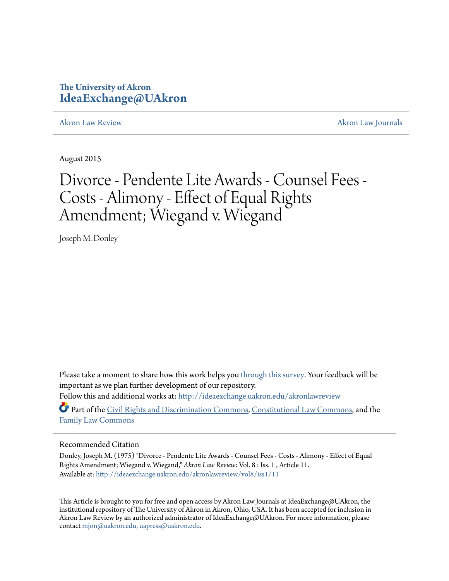## **The University of Akron [IdeaExchange@UAkron](http://ideaexchange.uakron.edu?utm_source=ideaexchange.uakron.edu%2Fakronlawreview%2Fvol8%2Fiss1%2F11&utm_medium=PDF&utm_campaign=PDFCoverPages)**

[Akron Law Review](http://ideaexchange.uakron.edu/akronlawreview?utm_source=ideaexchange.uakron.edu%2Fakronlawreview%2Fvol8%2Fiss1%2F11&utm_medium=PDF&utm_campaign=PDFCoverPages) [Akron Law Journals](http://ideaexchange.uakron.edu/akronlawjournals?utm_source=ideaexchange.uakron.edu%2Fakronlawreview%2Fvol8%2Fiss1%2F11&utm_medium=PDF&utm_campaign=PDFCoverPages)

August 2015

# Divorce - Pendente Lite Awards - Counsel Fees - Costs - Alimony - Effect of Equal Rights Amendment; Wiegand v. Wiegand

Joseph M. Donley

Please take a moment to share how this work helps you [through this survey.](http://survey.az1.qualtrics.com/SE/?SID=SV_eEVH54oiCbOw05f&URL=http://ideaexchange.uakron.edu/akronlawreview/vol8/iss1/11) Your feedback will be important as we plan further development of our repository. Follow this and additional works at: [http://ideaexchange.uakron.edu/akronlawreview](http://ideaexchange.uakron.edu/akronlawreview?utm_source=ideaexchange.uakron.edu%2Fakronlawreview%2Fvol8%2Fiss1%2F11&utm_medium=PDF&utm_campaign=PDFCoverPages)

Part of the [Civil Rights and Discrimination Commons,](http://network.bepress.com/hgg/discipline/585?utm_source=ideaexchange.uakron.edu%2Fakronlawreview%2Fvol8%2Fiss1%2F11&utm_medium=PDF&utm_campaign=PDFCoverPages) [Constitutional Law Commons](http://network.bepress.com/hgg/discipline/589?utm_source=ideaexchange.uakron.edu%2Fakronlawreview%2Fvol8%2Fiss1%2F11&utm_medium=PDF&utm_campaign=PDFCoverPages), and the [Family Law Commons](http://network.bepress.com/hgg/discipline/602?utm_source=ideaexchange.uakron.edu%2Fakronlawreview%2Fvol8%2Fiss1%2F11&utm_medium=PDF&utm_campaign=PDFCoverPages)

### Recommended Citation

Donley, Joseph M. (1975) "Divorce - Pendente Lite Awards - Counsel Fees - Costs - Alimony - Effect of Equal Rights Amendment; Wiegand v. Wiegand," *Akron Law Review*: Vol. 8 : Iss. 1 , Article 11. Available at: [http://ideaexchange.uakron.edu/akronlawreview/vol8/iss1/11](http://ideaexchange.uakron.edu/akronlawreview/vol8/iss1/11?utm_source=ideaexchange.uakron.edu%2Fakronlawreview%2Fvol8%2Fiss1%2F11&utm_medium=PDF&utm_campaign=PDFCoverPages)

This Article is brought to you for free and open access by Akron Law Journals at IdeaExchange@UAkron, the institutional repository of The University of Akron in Akron, Ohio, USA. It has been accepted for inclusion in Akron Law Review by an authorized administrator of IdeaExchange@UAkron. For more information, please contact [mjon@uakron.edu, uapress@uakron.edu.](mailto:mjon@uakron.edu,%20uapress@uakron.edu)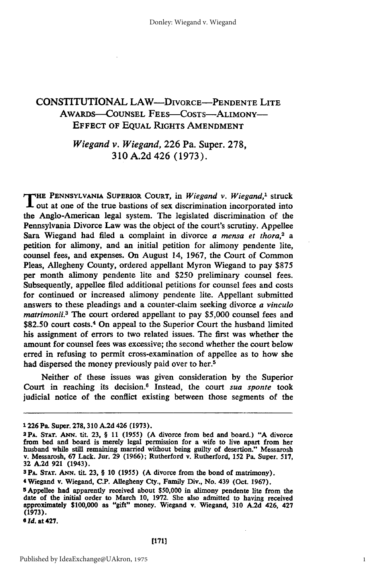## CONSTITUTIONAL **LAW-DIVORCE-PENDENTE** LITE AWARDS-COUNSEL FEES-COSTS-ALIMONY-**EFFECT** OF **EQUAL** RIGHTS AMENDMENT

## *Wiegand v. Wiegand,* **226** Pa. Super. **278, 310 A.2d** 426 **(1973).**

T **HE PENNSYLVANIA** SUPERIOR **COURT,** in *Wiegand v. Wiegand,'* struck  $\mathbf 1$  out at one of the true bastions of sex discrimination incorporated into the Anglo-American legal system. The legislated discrimination of the Pennsylvania Divorce Law was the object of the court's scrutiny. Appellee Sara Wiegand had filed a complaint in divorce *a mensa et thora,2 a* petition for alimony, and an initial petition for alimony pendente lite, counsel fees, and expenses. On August 14, 1967, the Court of Common Pleas, Allegheny County, ordered appellant Myron Wiegand to pay \$875 per month alimony pendente lite and \$250 preliminary counsel fees. Subsequently, appellee filed additional petitions for counsel fees and costs for continued or increased alimony pendente lite. Appellant submitted answers to these pleadings and a counter-claim seeking divorce *a vinculo matrimoni.3* The court ordered appellant to pay \$5,000 counsel fees and \$82.50 court costs.<sup>4</sup> On appeal to the Superior Court the husband limited his assignment of errors to two related issues. The first was whether the amount for counsel fees was excessive; the second whether the court below erred in refusing to permit cross-examination of appellee as to how she had dispersed the money previously paid over to her.<sup>5</sup>

Neither of these issues was given consideration by the Superior Court in reaching its decision.<sup>6</sup> Instead, the court *sua sponte* took judicial notice of the conflict existing between those segments of the

<sup>1226</sup> Pa. Super. **278,** 310 A.2d 426 **(1973).** 2PA. **STAT.** ANN. tit. **23,** § 11 (1955) (A divorce from bed and board.) **"A** divorce from bed and board is merely legal permission for a wife to live apart from her husband while still remaining married without being guilty of desertion." Messarosh v. Messarosh, **67** Lack. Jur. **29** (1966); Rutherford v. Rutherford, 152 Pa. Super. 517, **32 A.2d 921** (1943).

**SPA. STAT.** Arm. tit. **23,** § **10** (1955) (A divorce from the bond of matrimony).

<sup>4</sup> Wiegand v. Wiegand, C.P. Allegheny Cty., Family Div., No. 439 (Oct. 1967).

sAppellee had apparently received about \$50,000 in alimony pendente lite from the date of the initial order to March **10,** 1972. She also admitted to having received approximately \$100,000 as "gift" money. Wiegand v. Wiegand, **310** A.2d 426, 427 (1973).

*<sup>6</sup>Id.* at 427.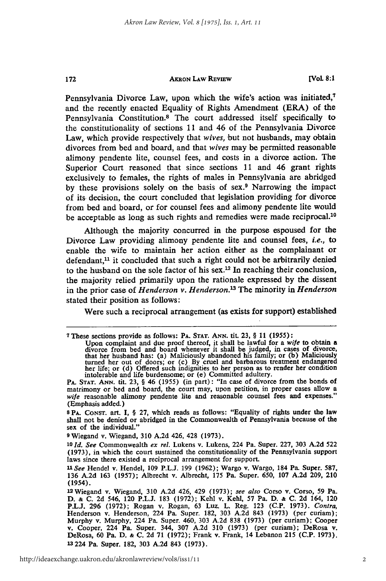#### **AKRON LAW REVIEW**

172

**[Vol 8:1**

Pennsylvania Divorce Law, upon which the wife's action was initiated,<sup>7</sup> and the recently enacted Equality of Rights Amendment (ERA) of the Pennsylvania Constitution.8 The court addressed itself specifically to the constitutionality of sections **11** and 46 of the Pennsylvania Divorce Law, which provide respectively that *wives,* but not husbands, may obtain divorces from bed and board, and that *wives* may be permitted reasonable alimony pendente lite, counsel fees, and costs in a divorce action. The Superior Court reasoned that since sections 11 and 46 grant rights exclusively to females, the rights of males in Pennsylvania are abridged by these provisions solely on the basis of sex.9 Narrowing the impact of its decision, the court concluded that legislation providing for divorce from bed and board, or for counsel fees and alimony pendente lite would be acceptable as long as such rights and remedies were made reciprocal.<sup>10</sup>

Although the majority concurred in the purpose espoused for the Divorce Law providing alimony pendente lite and counsel fees, *i.e.,* to enable the wife to maintain her action either as the complainant or defendant, $<sup>11</sup>$  it concluded that such a right could not be arbitrarily denied</sup> to the husband on the sole factor of his sex.<sup>12</sup> In reaching their conclusion, the majority relied primarily upon the rationale expressed by the dissent in the prior case of *Henderson v. Henderson.13* The minority in *Henderson* stated their position as follows:

Were such a reciprocal arrangement (as exists for support) established

**9** Wiegand v. Wiegand, **310 A.2d** 426, 428 **(1973).**

**<sup>7</sup>**These sections provide as follows: **PA. STAT. ANN.** tit. **23,** § 11 (1955):

Upon complaint and due proof thereof, it shall be lawful for a *wife* to obtain a divorce from bed and board whenever it shall be judged, in cases of divorce, that her husband has: (a) Maliciously abandoned his family; or

**PA. STAT. ANN.** tit. **23,** § 46 **(1955)** (in part): "In case of divorce from the bonds of matrimony or bed and board, the court may, upon petition, in proper cases allow a *wife* reasonable alimony pendente lite and reasonable counsel fees and expenses." (Emphasis added.)

**S PA. CONsT. art. I,** § **27,** which reads as follows: "Equality of rights under the law shall not be denied or abridged in the Commonwealth of Pennsylvania because of the **sex of** the **individual."**

*<sup>10</sup> Id. See* Commonwealth *ex rel.* Lukens v. Lukens, 224 Pa. Super. **227, 303 A.2d 522 (1973),** in which the court sustained the constitutionality of the Pennsylvania support laws since there existed a reciprocal arrangement for support.

*U See* Hendel v. Hendel, **109 P.L.J. 199 (1962);** Wargo v. Wargo, 184 **Pa.** Super. **587, 136 A.2d 163 (1957);** Albrecht v. Albrecht, **175** Pa. Super. **650, 107 A.2d 209, 210** (1954).

**<sup>12</sup>**Wiegand v. Wiegand, 310 A.2d 426, 429 (1973); *see also* Corso v. Corso, 59 Pa. D. **&** C. 2d 546, 120 P.L.J. 183 (1972); Kehl v. Kehl, 57 Pa. D. **&** C. 2d 164, 120 P.L.J. 296 (1972); Rogan v. Rogan, 63 Luz. L. Reg. **123** (C.P. 1973). *Contra,* Henderson v. Henderson, 224 Pa. Super. 182, 303 A.2d 843 (1973) (per curiam); Murphy v. Murphy, 224 Pa. Super. 460, 303 A.2d 838 (1973) (per curiam); Cooper v. Cooper, 224 Pa. Super. 344, 307 A.2d 310 (1973) (per curiam); DeRosa v. DeRosa, 60 Pa. D. **&** C. 2d 71 (1972); Frank v. Frank, 14 Lebanon 215 (C.P. 1973). **<sup>13</sup>**224 Pa. Super. 182, 303 A.2d 843 (1973).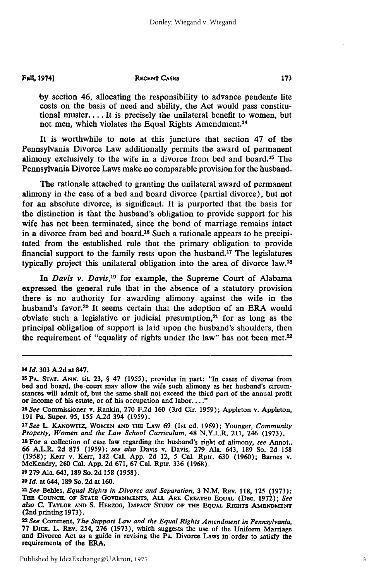#### **Fall, 1974]**

#### **RECENT CASES**

**by** section 46, allocating the responsibility to advance pendente lite costs on the basis of need and ability, the Act would pass constitutional muster.... It is precisely the unilateral benefit to women, but not men, which violates the Equal Rights Amendment.<sup>14</sup>

It is worthwhile to note at this juncture that section 47 of the Pennsylvania Divorce Law additionally permits the award of permanent alimony exclusively to the wife in a divorce from bed and board.15 The Pennsylvania Divorce Laws make no comparable provision for the husband.

The rationale attached to granting the unilateral award of permanent alimony in the case of a bed and board divorce (partial divorce), but not for an absolute divorce, is significant. It is purported that the basis for the distinction is that the husband's obligation to provide support for his wife has not been terminated, since the bond of marriage remains intact in a divorce from bed and board.<sup>16</sup> Such a rationale appears to be precipitated from the established rule that the primary obligation to provide financial support to the family rests upon the husband.<sup>17</sup> The legislatures typically project this unilateral obligation into the area of divorce law.<sup>18</sup>

*In Davis v. Davis,19* for example, the Supreme Court of Alabama expressed the general rule that in the absence of a statutory provision there is no authority for awarding alimony against the wife in the husband's favor.<sup>20</sup> It seems certain that the adoption of an ERA would obviate such a legislative or judicial presumption, $21$  for as long as the principal obligation of support is laid upon the husband's shoulders, then the requirement of "equality of rights under the law" has not been met.<sup>22</sup>

<sup>19</sup> 279 Ala. 643, 189 So. 2d 158 (1958).<br><sup>20</sup> Id. at 644, 189 So. 2d at 160.

*<sup>14</sup> Id.* **303 A.2d** at **847.**

**<sup>15</sup>PA. STAT. ANN. tit. 23,** § 47 **(1955),** provides in part: "In cases of divorce from **bed** and board, the court may allow the wife such alimony as her husband's circumstances will admit of, but the same shall not exceed the third part of the annual profit or income of his estate, or of his occupation and labor...."

*<sup>1</sup> <sup>6</sup> See* Commissioner v. Rankin, **270 F.2d 160** (3rd Cir. **1959);** Appleton v. Appleton, **191** Pa. Super. **95, 155 A.2d** 394 **(1959).**

*<sup>1</sup> <sup>7</sup> See* L. KAsowrrz, **WOMEN AND THE LAw 69** (1st ed. **1969);** Younger, *Community Property, Women and the Law School* Curriculum, 48 N.Y.L.R. 211, 246 (1973).

**<sup>18</sup>**For a collection of case law regarding the husband's right of alimony, *see* Annot., 66 A.L.R. 2d 875 (1959); see also Davis v. Davis, 279 Ala. 643, 189 So. 2d 158 (1958); Kerr v. Kerr, 182 Cal. App. 2d 12, 5 Cal. Rptr. 630 (1960); Barnes v. McKendry, 260 Cal. App. 2d 671, 67 Cal. Rptr. 336 (1968).<br>19 279

*<sup>1</sup> See* Behles, *Equal Rights in Divorce and Separation,* **3** N.M. **REV.** 118, 125 (1973); **THE** CouNCIn. **OF STATE GOVERNMENTS, ALL** ARE **CREATED EQUAL** (Dec. **1972);** *See also* **C. TAYLOR AND S. HEszoo, IMPACT STUDY OF THE EQUAL RIGHTS AMENDMENT** (2nd printing **1973).** *<sup>22</sup> See* Comment, *The Support Law and the Equal Rights Amendment in Pennsylvania,*

**<sup>77</sup>** DicK. L. REv. 254, **276 (1973),** which suggests the use of the Uniform Marriage and Divorce Act as a guide in revising the Pa. Divorce Laws in order to satisfy the requirements of the ERA.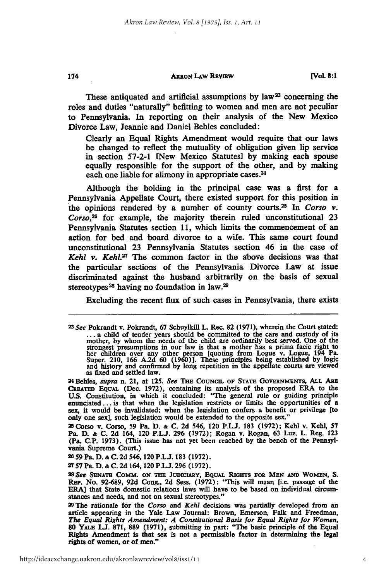#### **AXRON LAW REVIEW**

These antiquated and artificial assumptions by law<sup>23</sup> concerning the roles and duties "naturally" befitting to women and men are not peculiar to Pennsylvania. In reporting on their analysis of the New Mexico Divorce Law, Jeannie and Daniel Behles concluded:

Clearly an Equal Rights Amendment would require that our laws be changed to reflect the mutuality of obligation given lip service in section **57-2-1** [New Mexico Statutes] **by** making each spouse equally responsible for the support of the other, and **by** making each one liable for alimony in appropriate cases.<sup>24</sup>

Although the holding in the principal case was a first for a Pennsylvania Appellate Court, there existed support for this position in the opinions rendered **by** a number of county courts.25 In *Corso v. Corso,26* for example, the majority therein **ruled** unconstitutional **23** Pennsylvania Statutes section **11,** which limits the commencement of an action for bed and board divorce to a wife. This same court found unconstitutional **23** Pennsylvania Statutes section 46 in the case of *Kehl v. Kehl.<sup>27</sup>* The common factor in the above decisions was that the particular sections of the Pennsylvania Divorce Law at issue discriminated against the husband arbitrarily on the basis of sexual stereotypes<sup>28</sup> having no foundation in law.<sup>29</sup>

Excluding the recent flux of such cases in Pennsylvania, there exists

Pa. **D. & C. 2d** 164, 120 **P.L.J. 296 (1972);** Rogan v. Rogan, 63 Luz. L. Reg. **123** (Pa. **C.P. 1973).** (This issue has not yet been reached **by** the bench of the Pennsylvania Supreme Court.)

**28 59** Pa. **D. & C. 2d** 546,120 **P.L.J. 183 (1972).**

27 **57** Pa. **D. & C. 2d** 164, 120 **P.L.J. 296 (1972).**

**28** *See* **SENATE COMM. ON THE JUDICIARY, EQUAL RIGHTS FOR MEN AND WOMEN, S.** REP. No. **92-689, 92d** Cong., **2d** Sess. **(1972):** "This **will** mean [i.e. passage **of** the ERA] that State domestic relations laws will have to be based on individual circumstances and needs, and not on sexual stereotypes."

**29The** rationale for the *Corso and Kehl* decisions was partially developed from an article appearing in the **Yale** Law Journal: Brown, Emerson, Falk and Freedman, *The Equal Rights Amendment: A Constitutional* **Basis** *for Equal Rights for Women,* **80** YALE **LJ. 871, 889 (1971),** submitting in part: **"The** basic principle **of** the Equal Rights Amendment is that sex is not a permissible factor in determining the legal rights of women, or of men."

*<sup>2 3</sup> See* Pokrandt v. Pokrandt, **67** Schuylkill L. Rec. **82 (1971),** wherein the Court stated: **...** a child of tender years should be committed to the care and custody of its nother, by whom the needs of the child are ordinarily best served. One of the strongest presumptions in our law is that a mother has a prima facie right to her children over any other person [quoting from Logue v. Logue, 1 24 Behles, *supra* n. 21, at 125. *See* THE COUNCIL OF STATE GOVERNMENTS, ALL ARE

CREATED EQUAL (Dec. 1972), containing its analysis of the proposed ERA to the **U.S.** Constitution, in which it concluded: **"The** general rule or guiding principle enunciated **...** is that when the legislation restricts or limits the opportunities of **a** sex, it would be invalidated; when the legislation confers a benefit or privilege [to only one sex], such legislation would be extended to the opposite sex." <br>25 Corso v. Corso, 59 Pa. D. & C. 2d 546, 120 P.L.J. 183 (1972); Kehl v. Kehl, 57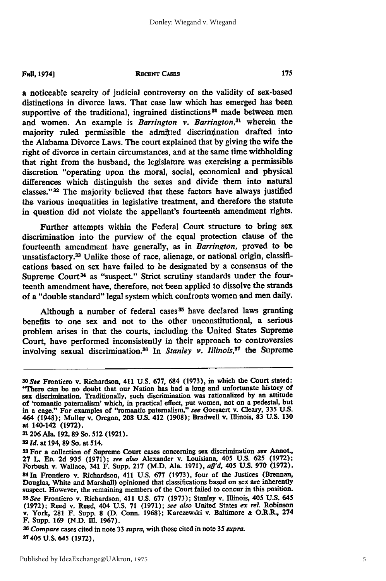#### **Fall, 1974] RECENT CASES**

a noticeable scarcity of judicial controversy on the validity of sex-based distinctions in divorce laws. That case law which has emerged has been supportive of the traditional, ingrained distinctions<sup>30</sup> made between men and women. An example is *Barrington v. Barrington*,<sup>31</sup> wherein the majority ruled permissible the admitted discrimination drafted into the Alabama Divorce Laws. The court explained that **by** giving the wife the right of divorce in certain circumstances, and at the same time withholding that right from the husband, the legislature was exercising a permissible discretion "operating upon the moral, social, economical and physical differences which distinguish the sexes and divide them into natural classes." $32$  The majority believed that these factors have always justified the various inequalities in legislative treatment, and therefore the statute in question did not violate the appellant's fourteenth amendment rights.

Further attempts within the Federal Court structure to bring sex discrimination into the purview of the equal protection clause of the fourteenth amendment have generally, as in *Barrington,* proved to be unsatisfactory.33 Unlike those of race, alienage, or national origin, classifications based on sex have failed to be designated **by** a consensus of the Supreme Court<sup>34</sup> as "suspect." Strict scrutiny standards under the fourteenth amendment have, therefore, not been applied to dissolve the strands of a "double standard" legal system which confronts women and men daily.

Although a number of federal cases **5** have declared laws granting benefits to one sex and not to the other unconstitutional, a serious problem arises in that the courts, including the United States Supreme Court, have performed inconsistently in their approach to controversies involving sexual discrimination. 36 In *Stanley v. Illinois,8"* the Supreme

**31206** Ala. **192, 89** So. **512 (1921).**

*3Id.* at 194, **89** So. at 514.

*<sup>36</sup>Compare* cases cited in note 33 *supra,* with those cited in note **35** *supra.* 3T405 **U.S.** 645 **(1972),**

*<sup>30</sup>See* Frontiero v. Richardson, 411 **U.S. 677,** 684 **(1973),** in which the Court stated: "There can **be** no doubt that our Nation has had a long and unfortunate history of sex discrimination. Traditionally, such discrimination was rationalized **by** an attitude of 'romantic paternalism' which, in practical effect, put women, not on a pedestal, but in a cage." For examples of "romantic paternalism," *see* Goesaert v. Cleary, 335 **U.S.** 464 (1948); Muller v. Oregon, **208 U.S.** 412 **(1908);** Bradwell v. Illinois, **83 U.S. 130** at 140-142 **(1972).**

**<sup>33</sup>For** a collection of Supreme Court cases concerning sex discrimination *see* Annot., **27** L. **ED. 2d 935 (1971);** *see also* Alexander v. Louisiana, 405 **U.S. 625 (1972);** Forbush v. Wallace, 341 F. Supp. **217** (M.D. Ala. **1971),** *affd,* 405 **U.S. 970 (1972).** 3 4 In Frontiero v. Richardson, 411 **U.S. 677 (1973),** four of the Justices (Brennan, Douglas, White and Marshall) opinioned that classifications based on sex are inherently suspect. However, the remaining members of the Court failed to concur in this position. *35See* Frontiero v. Richardson, 411 **U.S. 677 (1973);** Stanley v. Illinois, 405 **U.S.** <sup>645</sup> **(1972);** Reed v. Reed, 404 **U.S. 71 (1971);** *see also* United States *ex rel.* Robinson v. York, **281** F. Supp. **8 (D.** Conn. **1968);** Karczewski v. Baltimore **&** O.R.R., 274 F. Supp. 169 (N.D. Ill. 1967).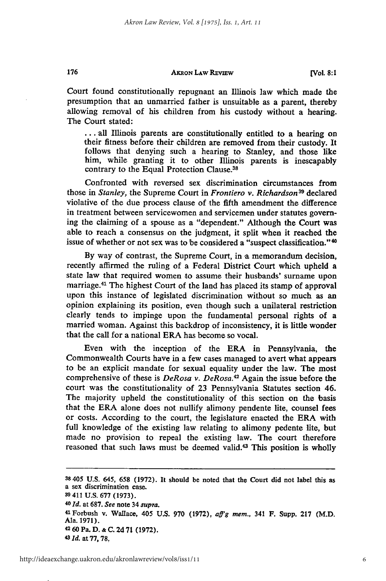#### AKRON **LAW REViEW**

**[Vol. 8:1**

Court found constitutionally repugnant an Illinois law which made the presumption that an unmarried father is unsuitable as a parent, thereby allowing removal of his children from his custody without a hearing. The Court stated:

... all Illinois parents are constitutionally entitled to a hearing on their fitness before their children are removed from their custody. It follows that denying such a hearing to Stanley, and those like him, while granting it to other Illinois parents is inescapably contrary to the Equal Protection Clause.<sup>38</sup>

Confronted with reversed sex discrimination circumstances from those in *Stanley,* the Supreme Court in *Frontiero v. Richardson3 9* declared violative of the due process clause of the fifth amendment the difference in treatment between servicewomen and servicemen under statutes governing the claiming of a spouse as a "dependent." Although the Court was able to reach a consensus on the judgment, it split when it reached the issue of whether or not sex was to be considered a "suspect classification." <sup>4</sup> 0

By way of contrast, the Supreme Court, in a memorandum decision, recently affirmed the ruling of a Federal District Court which upheld a state law that required women to assume their husbands' surname upon marriage.<sup>41</sup> The highest Court of the land has placed its stamp of approval upon this instance of legislated discrimination without so much as an opinion explaining its position, even though such a unilateral restriction clearly tends to impinge upon the fundamental personal rights of a married woman. Against this backdrop of inconsistency, it is little wonder that the call for a national ERA has become so vocal.

Even with the inception of the ERA in Pennsylvania, the Commonwealth Courts have in a few cases managed to avert what appears to be an explicit mandate for sexual equality under the law. The most comprehensive of these is *DeRosa v. DeRosa.4 2* Again the issue before the court was the constitutionality of 23 Pennsylvania Statutes section 46. The majority upheld the constitutionality of this section on the basis that the ERA alone does not nullify alimony pendente lite, counsel fees or costs. According to the court, the legislature enacted the ERA with full knowledge of the existing law relating to alimony pedente lite, but made no provision to repeal the existing law. The court therefore reasoned that such laws must be deemed valid.<sup>43</sup> This position is wholly

**38405 U.S.** 645, **658 (1972). It** should be noted that the Court did not label this as a sex discrimination case. **39** 411 **U.S. 677 (1973). <sup>40</sup>1d. at 687.** *See* **note** 34 *supra.* **<sup>41</sup> Forbush v.** Wallace, 405 **U.S. 970 (1972),** *aff'g mem.,* **341 F. Supp. 217** (M.D. Ala. **1971). 42 60** Pa. **D. & C. 2d 71 (1972).**

176

**<sup>43</sup>***Id.* **at 77, 78,**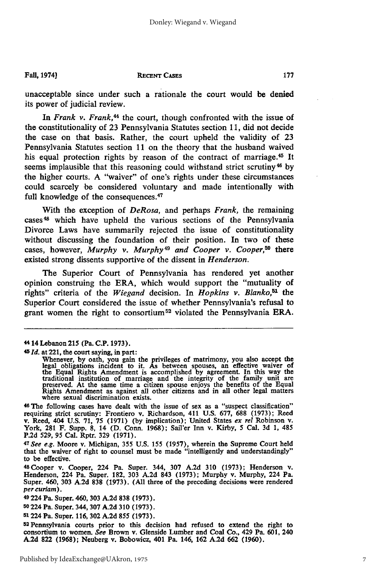**Fall, 19741**

#### **RECENT CASES**

unacceptable since under such a rationale the court would be denied its power of judicial review.

In *Frank v. Frank,44* the court, though confronted with the issue **of** the constitutionality of 23 Pennsylvania Statutes section 11, did not decide the case on that basis. Rather, the court upheld the validity of 23 Pennsylvania Statutes section 11 on the theory that the husband waived his equal protection rights by reason of the contract of marriage.<sup>45</sup> It seems implausible that this reasoning could withstand strict scrutiny<sup>46</sup> by the higher courts. A "waiver" of one's rights under these circumstances could scarcely be considered voluntary and made intentionally with full knowledge of the consequences.<sup>47</sup>

With the exception of *DeRosa,* and perhaps *Frank,* the remaining cases<sup>48</sup> which have upheld the various sections of the Pennsylvania Divorce Laws have summarily rejected the issue of constitutionality without discussing the foundation of their position. In two of these cases, however, *Murphy v. Murphy 49 and Cooper v. Cooper,50* there existed strong dissents supportive of the dissent in *Henderson.*

The Superior Court of Pennsylvania has rendered yet another opinion construing the ERA, which would support the "mutuality of rights" criteria of the *Wiegand* decision. In *Hopkins v. Blanko,51* the Superior Court considered the issue of whether Pennsylvania's refusal to grant women the right to consortium 52 violated the Pennsylvania ERA.

**<sup>45</sup>***Id.* at 221, the court saying, in part:

**<sup>46</sup>**The following cases have dealt with the issue of sex as a "suspect classification" requiring strict scrutiny: Frontiero v. Richardson, 411 U.S. 677, 688 (1973); Reed<br>v. Reed, 404 U.S. 71, 75 (1971) (by implication); United States ex rel Robinson v.<br>York, 281 F. Supp. 8, 14 (D. Conn. 1968); Sail'er Inn v.

P.2d 529, 95 Cal. Rptr. 329 (1971).<br><sup>47</sup> See e.g. Moore v. Michigan, 355 U.S. 155 (1957), wherein the Supreme Court held that the waiver of right to counsel must be made "intelligently and understandingly" to be effective.

48Cooper v. Cooper, 224 Pa. Super. 344, **307 A.2d 310 (1973);** Henderson v. Henderson, 224 Pa. Super. **182, 303 A.2d** 843 **(1973);** Murphy v. Murphy, 224 Pa. Super. 460, **303 A.2d 838 (1973). (All** three of the preceding decisions were rendered *per* **curiam).**

49 224 Pa. Super. 460, **303 A.2d 838 (1973).**

**50224** Pa. Super. 344, **307 A.2d 310 (1973).**

51224 Pa. Super. **116, 302 A.2d 855 (1973).** <sup>52</sup> Pennsylvania courts prior to this decision had refused to extend the right to consortium to women. *See* Brown v. Glenside Lumber and Coal Co., 429 Pa. **601,** 240 **A.2d 822 (1968);** Neuberg v. Bobowicz, 401 Pa. 146, **162 A.2d 662 (1960).**

**<sup>44</sup>** 14 Lebanon **215** (Pa. **C.P. 1973).**

Whenever, by oath, you gain the privileges of matrimony, you also accept the legal obligations incident to it. As between spouses, an effective waiver of the Equal Rights Amendment is accomplished by agreement. In this way where sexual discrimination exists.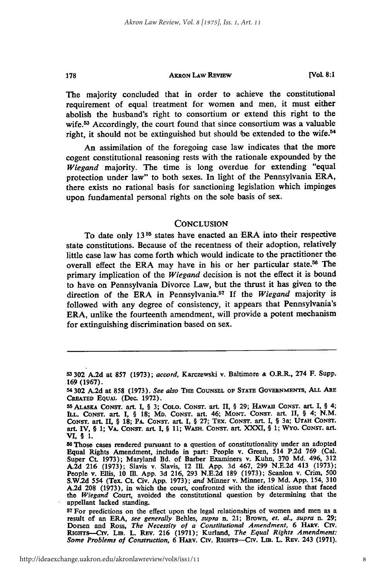#### **AKRON LAW REVIEW**

178

**[Vol 8:1**

The majority concluded that in order to achieve the constitutional requirement of equal treatment for women and men, it must either abolish the husband's right to consortium or extend this right to the wife.53 Accordingly, the court found that since consortium was a valuable right, it should not be extinguished but should be extended to the wife.<sup>54</sup>

An assimilation of the foregoing case law indicates that the more cogent constitutional reasoning rests with the rationale expounded **by** the *Wiegand* majority. The time is long overdue for extending "equal protection under law" to both sexes. In light of the Pennsylvania ERA, there exists no rational basis for sanctioning legislation which impinges upon fundamental personal rights on the sole basis of sex.

#### **CONCLUSION**

To date only 13<sup>55</sup> states have enacted an ERA into their respective state constitutions. Because of the recentness of their adoption, relatively little case law has come forth which would indicate to the practitioner the overall effect the ERA may have in his or her particular state.56 The primary implication of the *Wiegand* decision is not the effect it is bound to have on Pennsylvania Divorce Law, but the thrust it has given to the direction of the ERA in Pennsylvania.57 If the *Wiegand* majority is followed with any degree of consistency, it appears that Pennsylvania's ERA, unlike the fourteenth amendment, will provide a potent mechanism for extinguishing discrimination based on sex.

**<sup>53 302</sup> A.2d** at **857 (1973);** *accord,* Karczewski v. Baltimore **&** O.R.R., 274 F. Supp. **169 (1967).**

**<sup>54 302</sup> A.2d** at **858 (1973).** *See also* **THE COUNSEL OF STATE GOVERNMENTS,** *ALL* **ARE** CRATED **EQUAL** (Dec. **1972).**

**<sup>55</sup> ALASKA CoNsT.** art. **I,** § **3; COLO. CoNsT. art. II,** § **29; HAWAII CONST. art. I,** § 4; **ILL. CoNsT. art. I,** § **18;** MD. **CONST. art. 46; MONT. CONST. art. II,** § 4; **N.M. CONsT. art. II,** § **18; PA. CONsT. art. I,** § **27; TEx. CONSr. art.** I, § **3a; UTAH CONST. art.** IV, § **1; VA. CoNsT. art. I,** § **11; WASH. CONST. art. XXXI,** § **1; WYo. CONST. art. VI,** § 1.

**SThose cases rendered pursuant to a question of constitutionality under an adopted Equal Rights Amendment, include in part: People v. Green,** 514 **P.2d 769** (Cal. **Super** Ct. **1973);** Maryland **Bd. of Barber Examiners v.** Kuhn, **370 Md.** 496, **312 A.2d 216 (1973);** Slavis v. Slavis, 12 **Ill. App. 3d** 467, **299 N.E.2d** 413 **(1973);** People v. Ellis, **10** I1. **App. 3d 216, 293 N.E.2d 189 (1973);** Scanlon v. Crim, **500 S.W.2d** 554 (Tex. Ct. Civ. **App. 1973);** *and* Minner v. Minner, **19 Md. App.** 154, **310 A.2d 208 (1973),** in which the court, confronted with the identical issue that faced *the Wiegand* Court, avoided the constitutional question **by** determining that the appellant lacked standing.

**<sup>57</sup> For** predictions on the effect upon the legal relationships of women and men as a result of an ERA, *see generally* Behles, supra n. 21; Brown, *et. al., supra* n. **29; Dorsen and Ross,** *The Necessity of a Constitutional Amendment***, <b>6 HARV. CIV.**<br>RIGHTS-CIV. Lm. L. REV. 216 (1971); Kurland, *The Equal Rights Amendment*: *Some Problems of Construction,* 6 **HAnv. Civ. RGHTs--CIv.** Lm. L. REV. 243 **(1971).**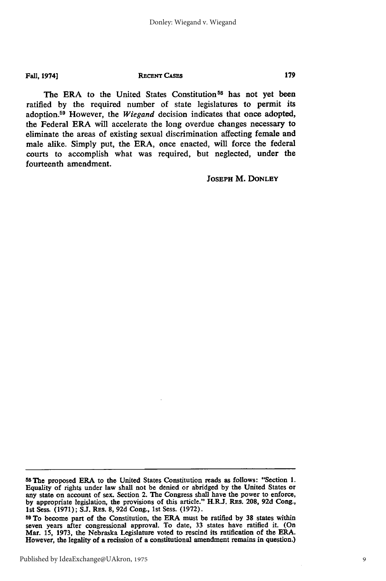Fall, 1974]

#### **RECENT CASES**

The ERA to the United States Constitution<sup>58</sup> has not yet been ratified **by** the required number of state legislatures to permit its adoption.<sup>59</sup> However, the *Wiegand* decision indicates that once adopted, the Federal ERA will accelerate the long overdue changes necessary to eliminate the areas of existing sexual discrimination affecting female and male alike. Simply put, the ERA, once enacted, will force the federal courts to accomplish what was required, but neglected, under the fourteenth amendment.

#### **JOSEPH** M. **DONLEY**

**<sup>58</sup>**The proposed ERA to the United States Constitution reads as follows: "Section **1.** Equality of rights under law shall not be denied or abridged **by** the United States or any state on account of sex. Section 2. The Congress shall have the power to enforce, **by** appropriate legislation, the provisions of this article." **H.RJ.** REs. **208, 92d** Cong., **1st** Sess. **(1971); S.J.** REs. **8, 92d** Cong., **1st** Sess. **(1972).**

**<sup>59</sup>**To become part of the Constitution, the ERA must be ratified **by 38** states within seven years after congressional approval. To date, **33** states have ratified it. (On Mar. **15, 1973,** the Nebraska Legislature voted to rescind its ratification of the ERA. However, the legality of a recission of a constitutional amendment remains in question.)